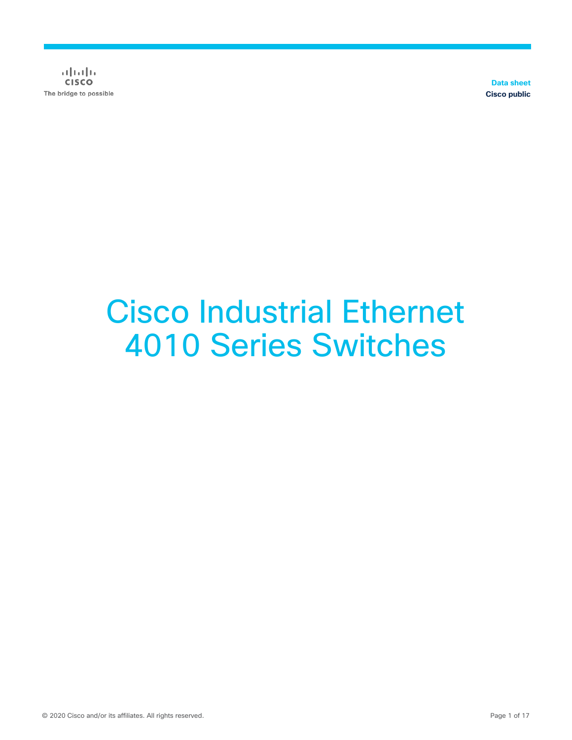$\alpha$  in the **CISCO** The bridge to possible

**Data sheet Cisco public**

# Cisco Industrial Ethernet 4010 Series Switches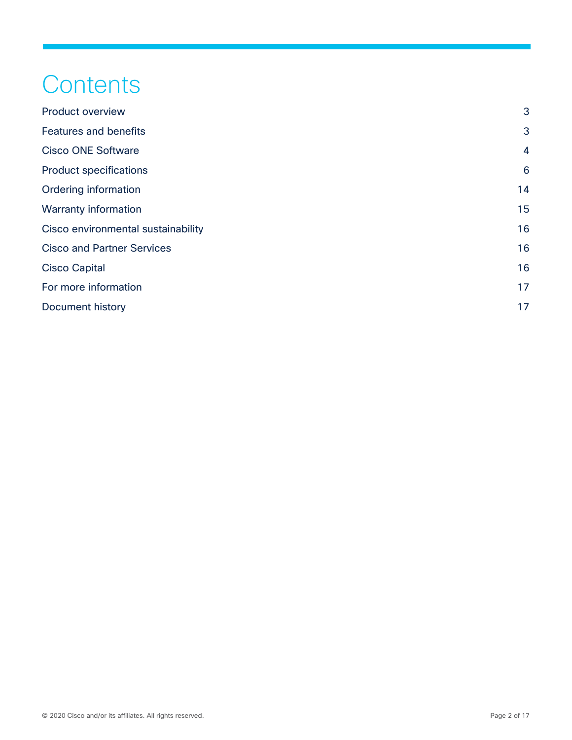# **Contents**

| <b>Product overview</b>            | 3               |
|------------------------------------|-----------------|
| <b>Features and benefits</b>       | 3               |
| <b>Cisco ONE Software</b>          | $\overline{4}$  |
| <b>Product specifications</b>      | $6\phantom{1}6$ |
| Ordering information               | 14              |
| <b>Warranty information</b>        | 15              |
| Cisco environmental sustainability | 16              |
| <b>Cisco and Partner Services</b>  | 16              |
| <b>Cisco Capital</b>               | 16              |
| For more information               | 17              |
| Document history                   | 17              |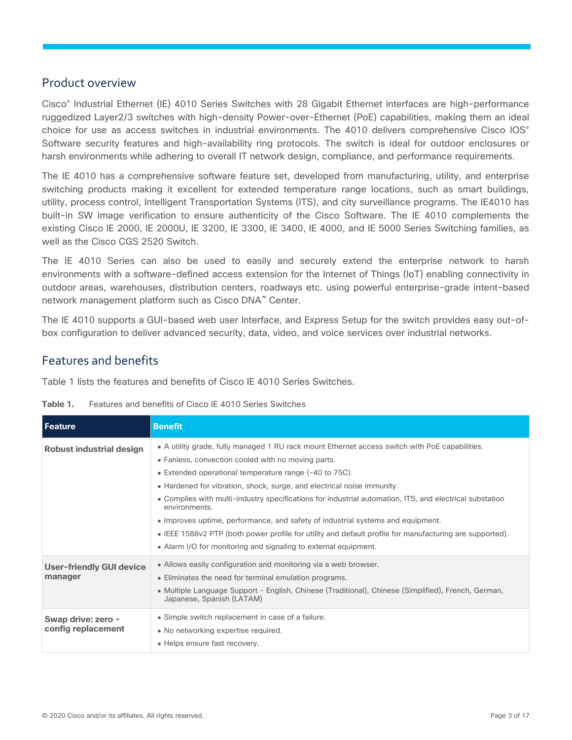### <span id="page-2-0"></span>Product overview

Cisco® Industrial Ethernet (IE) 4010 Series Switches with 28 Gigabit Ethernet interfaces are high-performance ruggedized Layer2/3 switches with high-density Power-over-Ethernet (PoE) capabilities, making them an ideal choice for use as access switches in industrial environments. The 4010 delivers comprehensive Cisco IOS<sup>®</sup> Software security features and high-availability ring protocols. The switch is ideal for outdoor enclosures or harsh environments while adhering to overall IT network design, compliance, and performance requirements.

The IE 4010 has a comprehensive software feature set, developed from manufacturing, utility, and enterprise switching products making it excellent for extended temperature range locations, such as smart buildings, utility, process control, Intelligent Transportation Systems (ITS), and city surveillance programs. The IE4010 has built-in SW image verification to ensure authenticity of the Cisco Software. The IE 4010 complements the existing Cisco IE 2000, IE 2000U, IE 3200, IE 3300, IE 3400, IE 4000, and IE 5000 Series Switching families, as well as the Cisco CGS 2520 Switch.

The IE 4010 Series can also be used to easily and securely extend the enterprise network to harsh environments with a software-defined access extension for the Internet of Things (IoT) enabling connectivity in outdoor areas, warehouses, distribution centers, roadways etc. using powerful enterprise-grade intent-based network management platform such as Cisco DNA™ Center.

The IE 4010 supports a GUI-based web user Interface, and Express Setup for the switch provides easy out-ofbox configuration to deliver advanced security, data, video, and voice services over industrial networks.

# <span id="page-2-1"></span>Features and benefits

Table 1 lists the features and benefits of Cisco IE 4010 Series Switches.

| Table 1.<br>Features and benefits of Cisco IE 4010 Series Switches |  |
|--------------------------------------------------------------------|--|
|--------------------------------------------------------------------|--|

| Feature                                  | <b>Benefit</b>                                                                                                                                                                                                                                                                                                                                                                                                                                                                                                                                                                                                                                                                        |
|------------------------------------------|---------------------------------------------------------------------------------------------------------------------------------------------------------------------------------------------------------------------------------------------------------------------------------------------------------------------------------------------------------------------------------------------------------------------------------------------------------------------------------------------------------------------------------------------------------------------------------------------------------------------------------------------------------------------------------------|
| <b>Robust industrial design</b>          | • A utility grade, fully managed 1 RU rack mount Ethernet access switch with PoE capabilities.<br>• Fanless, convection cooled with no moving parts.<br>• Extended operational temperature range (-40 to 75C).<br>• Hardened for vibration, shock, surge, and electrical noise immunity.<br>• Complies with multi-industry specifications for industrial automation, ITS, and electrical substation<br>environments.<br>• Improves uptime, performance, and safety of industrial systems and equipment.<br>• IEEE 1588v2 PTP (both power profile for utility and default profile for manufacturing are supported).<br>• Alarm I/O for monitoring and signaling to external equipment. |
| User-friendly GUI device<br>manager      | • Allows easily configuration and monitoring via a web browser.<br>• Eliminates the need for terminal emulation programs.<br>• Multiple Language Support - English, Chinese (Traditional), Chinese (Simplified), French, German,<br>Japanese, Spanish (LATAM)                                                                                                                                                                                                                                                                                                                                                                                                                         |
| Swap drive: zero -<br>config replacement | • Simple switch replacement in case of a failure.<br>• No networking expertise required.<br>• Helps ensure fast recovery.                                                                                                                                                                                                                                                                                                                                                                                                                                                                                                                                                             |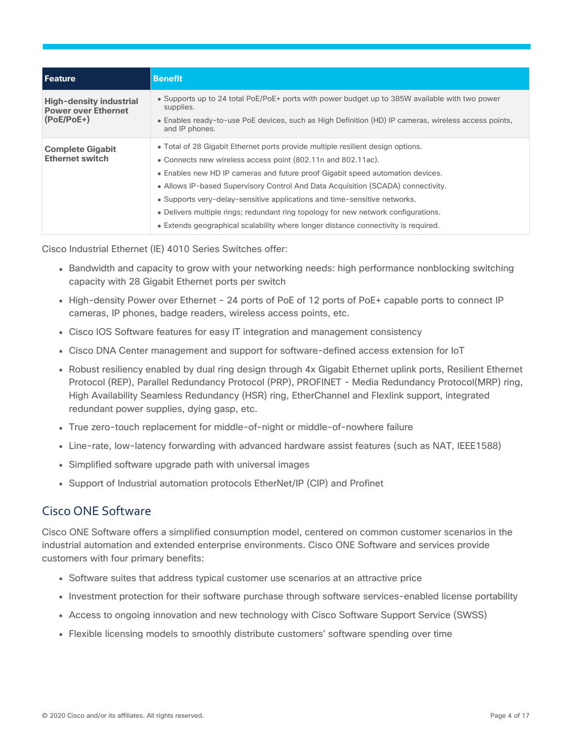| • Supports up to 24 total PoE/PoE+ ports with power budget up to 385W available with two power<br>• Enables ready-to-use PoE devices, such as High Definition (HD) IP cameras, wireless access points,                                                                                                                                                                                                                                                                                   |
|------------------------------------------------------------------------------------------------------------------------------------------------------------------------------------------------------------------------------------------------------------------------------------------------------------------------------------------------------------------------------------------------------------------------------------------------------------------------------------------|
| • Total of 28 Gigabit Ethernet ports provide multiple resilient design options.<br>• Connects new wireless access point (802.11n and 802.11ac).<br>• Enables new HD IP cameras and future proof Gigabit speed automation devices.<br>• Allows IP-based Supervisory Control And Data Acquisition (SCADA) connectivity.<br>• Supports very-delay-sensitive applications and time-sensitive networks.<br>• Delivers multiple rings; redundant ring topology for new network configurations. |
|                                                                                                                                                                                                                                                                                                                                                                                                                                                                                          |

Cisco Industrial Ethernet (IE) 4010 Series Switches offer:

- Bandwidth and capacity to grow with your networking needs: high performance nonblocking switching capacity with 28 Gigabit Ethernet ports per switch
- High-density Power over Ethernet 24 ports of PoE of 12 ports of PoE+ capable ports to connect IP cameras, IP phones, badge readers, wireless access points, etc.
- Cisco IOS Software features for easy IT integration and management consistency
- Cisco DNA Center management and support for software-defined access extension for IoT
- Robust resiliency enabled by dual ring design through 4x Gigabit Ethernet uplink ports, Resilient Ethernet Protocol (REP), Parallel Redundancy Protocol (PRP), PROFINET - Media Redundancy Protocol(MRP) ring, High Availability Seamless Redundancy (HSR) ring, EtherChannel and Flexlink support, integrated redundant power supplies, dying gasp, etc.
- True zero-touch replacement for middle-of-night or middle-of-nowhere failure
- Line-rate, low-latency forwarding with advanced hardware assist features (such as NAT, IEEE1588)
- Simplified software upgrade path with universal images
- Support of Industrial automation protocols EtherNet/IP (CIP) and Profinet

## <span id="page-3-0"></span>Cisco ONE Software

Cisco ONE Software offers a simplified consumption model, centered on common customer scenarios in the industrial automation and extended enterprise environments. Cisco ONE Software and services provide customers with four primary benefits:

- Software suites that address typical customer use scenarios at an attractive price
- Investment protection for their software purchase through software services-enabled license portability
- Access to ongoing innovation and new technology with Cisco Software Support Service (SWSS)
- Flexible licensing models to smoothly distribute customers' software spending over time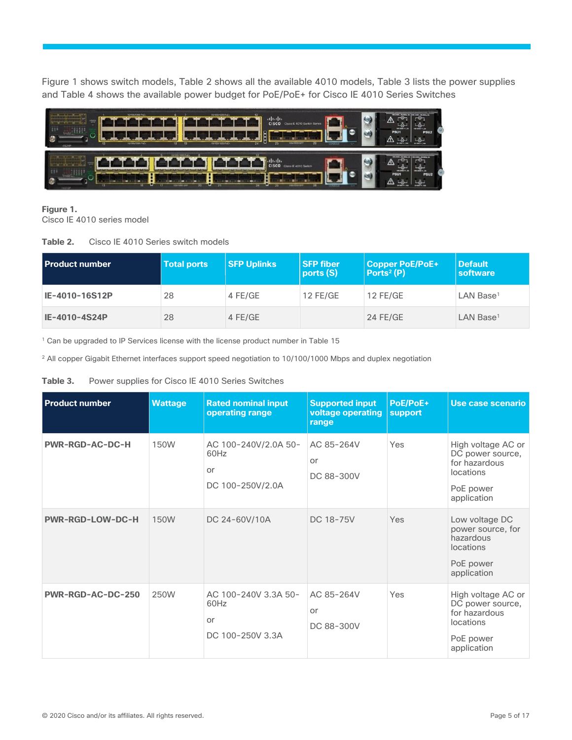Figure 1 shows switch models, Table 2 shows all the available 4010 models, Table 3 lists the power supplies and Table 4 shows the available power budget for PoE/PoE+ for Cisco IE 4010 Series Switches



#### **Figure 1.**

Cisco IE 4010 series model

**Table 2.** Cisco IE 4010 Series switch models

| <b>Product number</b> | <b>Total ports</b> | <b>SFP Uplinks</b> | <b>SFP fiber</b><br>ports (S) | <b>Copper PoE/PoE+</b><br>Ports <sup>2</sup> $(P)$ | <b>Default</b><br>software |
|-----------------------|--------------------|--------------------|-------------------------------|----------------------------------------------------|----------------------------|
| IE-4010-16S12P        | 28                 | 4 FE/GE            | $12$ FE/GE                    | 12 FE/GE                                           | $LAN$ Base <sup>1</sup>    |
| IE-4010-4S24P         | 28                 | 4 FE/GE            |                               | 24 FE/GE                                           | $LAN$ Base <sup>1</sup>    |

<sup>1</sup> Can be upgraded to IP Services license with the license product number in Table 15

<sup>2</sup> All copper Gigabit Ethernet interfaces support speed negotiation to 10/100/1000 Mbps and duplex negotiation

#### **Table 3.** Power supplies for Cisco IE 4010 Series Switches

| <b>Product number</b>   | <b>Wattage</b> | <b>Rated nominal input</b><br>operating range          | <b>Supported input</b><br>voltage operating<br>range | PoE/PoE+<br>support | Use case scenario                                                                                |
|-------------------------|----------------|--------------------------------------------------------|------------------------------------------------------|---------------------|--------------------------------------------------------------------------------------------------|
| <b>PWR-RGD-AC-DC-H</b>  | <b>150W</b>    | AC 100-240V/2.0A 50-<br>60Hz<br>or<br>DC 100-250V/2.0A | AC 85-264V<br>or<br>DC 88-300V                       | Yes                 | High voltage AC or<br>DC power source,<br>for hazardous<br>locations<br>PoE power<br>application |
| <b>PWR-RGD-LOW-DC-H</b> | 150W           | DC 24-60V/10A                                          | DC 18-75V                                            | Yes                 | Low voltage DC<br>power source, for<br>hazardous<br>locations<br>PoE power<br>application        |
| PWR-RGD-AC-DC-250       | 250W           | AC 100-240V 3.3A 50-<br>60Hz<br>or<br>DC 100-250V 3.3A | AC 85-264V<br>or<br>DC 88-300V                       | Yes                 | High voltage AC or<br>DC power source,<br>for hazardous<br>locations<br>PoE power<br>application |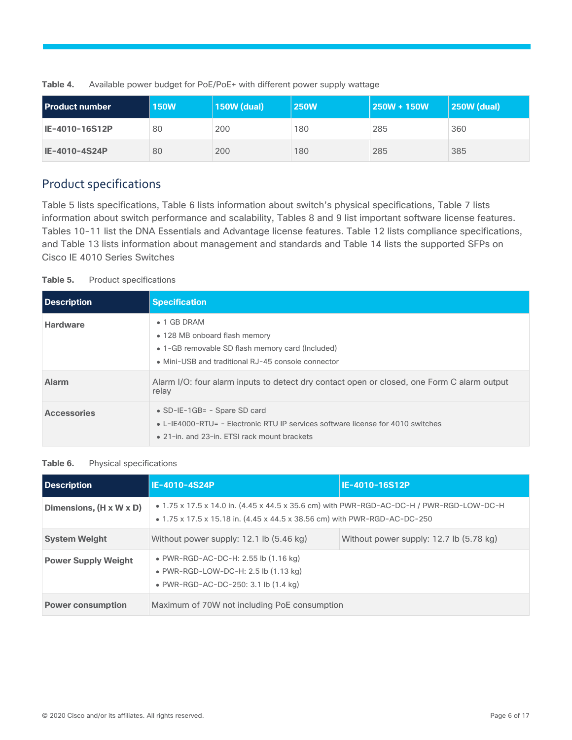| <b>Product number</b> | <b>150W</b> | <b>150W (dual)</b> | <b>250W</b> | 250W + 150W | 250W (dual) |
|-----------------------|-------------|--------------------|-------------|-------------|-------------|
| IE-4010-16S12P        | 80          | 200                | 180         | 285         | 360         |
| IE-4010-4S24P         | 80          | 200                | 180         | 285         | 385         |

**Table 4.** Available power budget for PoE/PoE+ with different power supply wattage

# <span id="page-5-0"></span>Product specifications

Table 5 lists specifications, Table 6 lists information about switch's physical specifications, Table 7 lists information about switch performance and scalability, Tables 8 and 9 list important software license features. Tables 10-11 list the DNA Essentials and Advantage license features. Table 12 lists compliance specifications, and Table 13 lists information about management and standards and Table 14 lists the supported SFPs on Cisco IE 4010 Series Switches

#### **Table 5.** Product specifications

| Description        | <b>Specification</b>                                                                                                                                               |
|--------------------|--------------------------------------------------------------------------------------------------------------------------------------------------------------------|
| <b>Hardware</b>    | $\bullet$ 1 GB DRAM<br>• 128 MB onboard flash memory<br>• 1-GB removable SD flash memory card (Included)<br>• Mini-USB and traditional RJ-45 console connector     |
| <b>Alarm</b>       | Alarm I/O: four alarm inputs to detect dry contact open or closed, one Form C alarm output<br>relay                                                                |
| <b>Accessories</b> | • $SD-IE-1GB = -$ Spare SD card<br>• L-IE4000-RTU= - Electronic RTU IP services software license for 4010 switches<br>• 21-in, and 23-in. ETSI rack mount brackets |

#### **Table 6.** Physical specifications

| <b>Description</b>                  | IE-4010-4S24P                                                                                                                                                         | IE-4010-16S12P                          |  |
|-------------------------------------|-----------------------------------------------------------------------------------------------------------------------------------------------------------------------|-----------------------------------------|--|
| Dimensions, $(H \times W \times D)$ | • 1.75 x 17.5 x 14.0 in. (4.45 x 44.5 x 35.6 cm) with PWR-RGD-AC-DC-H / PWR-RGD-LOW-DC-H<br>• 1.75 x 17.5 x 15.18 in. (4.45 x 44.5 x 38.56 cm) with PWR-RGD-AC-DC-250 |                                         |  |
| <b>System Weight</b>                | Without power supply: 12.1 lb (5.46 kg)                                                                                                                               | Without power supply: 12.7 lb (5.78 kg) |  |
| <b>Power Supply Weight</b>          | • PWR-RGD-AC-DC-H: 2.55 lb (1.16 kg)<br>$\bullet$ PWR-RGD-LOW-DC-H: 2.5 lb (1.13 kg)<br>• PWR-RGD-AC-DC-250: 3.1 lb (1.4 kg)                                          |                                         |  |
| <b>Power consumption</b>            | Maximum of 70W not including PoE consumption                                                                                                                          |                                         |  |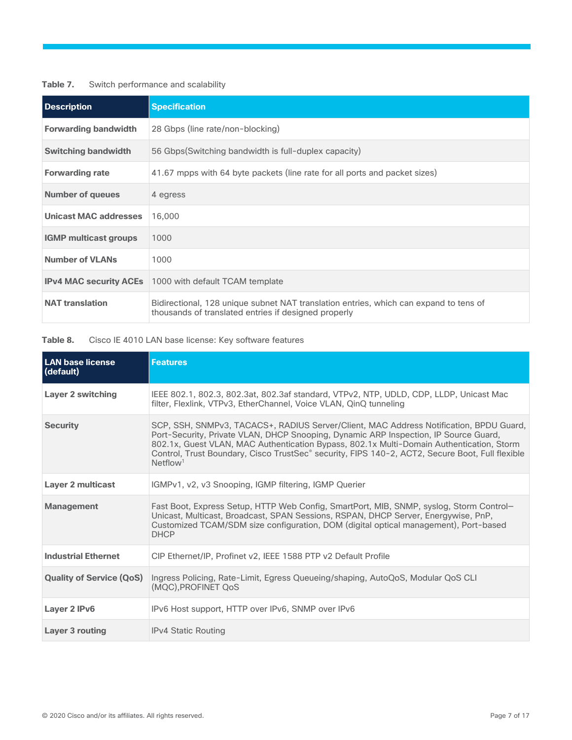| Table 7. | Switch performance and scalability |  |
|----------|------------------------------------|--|
|----------|------------------------------------|--|

| <b>Description</b>           | <b>Specification</b>                                                                                                                          |
|------------------------------|-----------------------------------------------------------------------------------------------------------------------------------------------|
| <b>Forwarding bandwidth</b>  | 28 Gbps (line rate/non-blocking)                                                                                                              |
| <b>Switching bandwidth</b>   | 56 Gbps (Switching bandwidth is full-duplex capacity)                                                                                         |
| <b>Forwarding rate</b>       | 41.67 mpps with 64 byte packets (line rate for all ports and packet sizes)                                                                    |
| <b>Number of queues</b>      | 4 egress                                                                                                                                      |
| <b>Unicast MAC addresses</b> | 16,000                                                                                                                                        |
| <b>IGMP multicast groups</b> | 1000                                                                                                                                          |
| <b>Number of VLANs</b>       | 1000                                                                                                                                          |
|                              | <b>IPv4 MAC security ACEs</b> 1000 with default TCAM template                                                                                 |
| <b>NAT translation</b>       | Bidirectional, 128 unique subnet NAT translation entries, which can expand to tens of<br>thousands of translated entries if designed properly |

**Table 8.** Cisco IE 4010 LAN base license: Key software features

| <b>LAN base license</b><br>(default) | <b>Features</b>                                                                                                                                                                                                                                                                                                                                                                                       |
|--------------------------------------|-------------------------------------------------------------------------------------------------------------------------------------------------------------------------------------------------------------------------------------------------------------------------------------------------------------------------------------------------------------------------------------------------------|
| <b>Layer 2 switching</b>             | IEEE 802.1, 802.3, 802.3at, 802.3af standard, VTPv2, NTP, UDLD, CDP, LLDP, Unicast Mac<br>filter, Flexlink, VTPv3, EtherChannel, Voice VLAN, QinQ tunneling                                                                                                                                                                                                                                           |
| <b>Security</b>                      | SCP, SSH, SNMPv3, TACACS+, RADIUS Server/Client, MAC Address Notification, BPDU Guard,<br>Port-Security, Private VLAN, DHCP Snooping, Dynamic ARP Inspection, IP Source Guard,<br>802.1x, Guest VLAN, MAC Authentication Bypass, 802.1x Multi-Domain Authentication, Storm<br>Control, Trust Boundary, Cisco TrustSec® security, FIPS 140-2, ACT2, Secure Boot, Full flexible<br>Netflow <sup>1</sup> |
| <b>Layer 2 multicast</b>             | IGMPv1, v2, v3 Snooping, IGMP filtering, IGMP Querier                                                                                                                                                                                                                                                                                                                                                 |
| <b>Management</b>                    | Fast Boot, Express Setup, HTTP Web Config, SmartPort, MIB, SNMP, syslog, Storm Control-<br>Unicast, Multicast, Broadcast, SPAN Sessions, RSPAN, DHCP Server, Energywise, PnP,<br>Customized TCAM/SDM size configuration, DOM (digital optical management), Port-based<br><b>DHCP</b>                                                                                                                  |
| <b>Industrial Ethernet</b>           | CIP Ethernet/IP, Profinet v2, IEEE 1588 PTP v2 Default Profile                                                                                                                                                                                                                                                                                                                                        |
| <b>Quality of Service (QoS)</b>      | Ingress Policing, Rate-Limit, Egress Queueing/shaping, AutoQoS, Modular QoS CLI<br>(MOC).PROFINET OoS                                                                                                                                                                                                                                                                                                 |
| Layer 2 IPv6                         | IPv6 Host support, HTTP over IPv6, SNMP over IPv6                                                                                                                                                                                                                                                                                                                                                     |
| Layer 3 routing                      | <b>IPv4 Static Routing</b>                                                                                                                                                                                                                                                                                                                                                                            |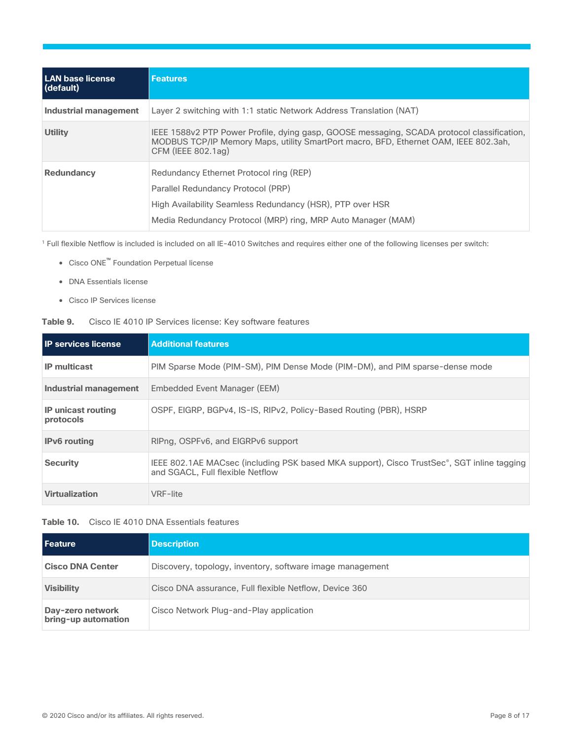| LAN base license<br>(default) | <b>Features</b>                                                                                                                                                                                            |
|-------------------------------|------------------------------------------------------------------------------------------------------------------------------------------------------------------------------------------------------------|
| Industrial management         | Layer 2 switching with 1:1 static Network Address Translation (NAT)                                                                                                                                        |
| <b>Utility</b>                | IEEE 1588v2 PTP Power Profile, dying gasp, GOOSE messaging, SCADA protocol classification,<br>MODBUS TCP/IP Memory Maps, utility SmartPort macro, BFD, Ethernet OAM, IEEE 802.3ah,<br>CFM (IEEE 802.1ag)   |
| <b>Redundancy</b>             | Redundancy Ethernet Protocol ring (REP)<br>Parallel Redundancy Protocol (PRP)<br>High Availability Seamless Redundancy (HSR), PTP over HSR<br>Media Redundancy Protocol (MRP) ring, MRP Auto Manager (MAM) |

<sup>1</sup> Full flexible Netflow is included is included on all IE-4010 Switches and requires either one of the following licenses per switch:

- Cisco ONE™ Foundation Perpetual license
- DNA Essentials license
- Cisco IP Services license

#### **Table 9.** Cisco IE 4010 IP Services license: Key software features

| <b>IP services license</b>             | <b>Additional features</b>                                                                                                     |
|----------------------------------------|--------------------------------------------------------------------------------------------------------------------------------|
| <b>IP</b> multicast                    | PIM Sparse Mode (PIM-SM), PIM Dense Mode (PIM-DM), and PIM sparse-dense mode                                                   |
| Industrial management                  | Embedded Event Manager (EEM)                                                                                                   |
| <b>IP unicast routing</b><br>protocols | OSPF, EIGRP, BGPv4, IS-IS, RIPv2, Policy-Based Routing (PBR), HSRP                                                             |
| <b>IPv6</b> routing                    | RIPng, OSPFv6, and EIGRPv6 support                                                                                             |
| <b>Security</b>                        | IEEE 802.1AE MACsec (including PSK based MKA support), Cisco TrustSec®, SGT inline tagging<br>and SGACL. Full flexible Netflow |
| <b>Virtualization</b>                  | VRF-lite                                                                                                                       |

#### **Table 10.** Cisco IE 4010 DNA Essentials features

| <b>Feature</b>                          | <b>Description</b>                                        |
|-----------------------------------------|-----------------------------------------------------------|
| <b>Cisco DNA Center</b>                 | Discovery, topology, inventory, software image management |
| <b>Visibility</b>                       | Cisco DNA assurance, Full flexible Netflow, Device 360    |
| Day-zero network<br>bring-up automation | Cisco Network Plug-and-Play application                   |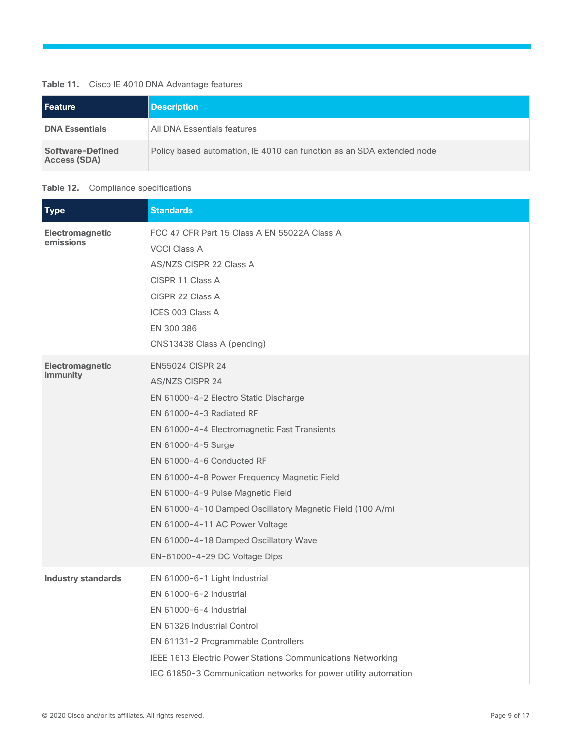#### **Table 11.** Cisco IE 4010 DNA Advantage features

| Feature                          | <b>Description</b>                                                    |
|----------------------------------|-----------------------------------------------------------------------|
| <b>DNA Essentials</b>            | All DNA Essentials features                                           |
| Software-Defined<br>Access (SDA) | Policy based automation, IE 4010 can function as an SDA extended node |

#### <span id="page-8-0"></span>**Table 12.** Compliance specifications

| <b>Type</b>                        | <b>Standards</b>                                                                                                                                                                                                                                                                                                                                                                                                                                                                       |
|------------------------------------|----------------------------------------------------------------------------------------------------------------------------------------------------------------------------------------------------------------------------------------------------------------------------------------------------------------------------------------------------------------------------------------------------------------------------------------------------------------------------------------|
| Electromagnetic<br>emissions       | FCC 47 CFR Part 15 Class A EN 55022A Class A<br><b>VCCI Class A</b><br>AS/NZS CISPR 22 Class A<br>CISPR 11 Class A<br>CISPR 22 Class A<br>ICES 003 Class A<br>EN 300 386<br>CNS13438 Class A (pending)                                                                                                                                                                                                                                                                                 |
| <b>Electromagnetic</b><br>immunity | <b>EN55024 CISPR 24</b><br><b>AS/NZS CISPR 24</b><br>EN 61000-4-2 Electro Static Discharge<br>EN 61000-4-3 Radiated RF<br>EN 61000-4-4 Electromagnetic Fast Transients<br>EN 61000-4-5 Surge<br>EN 61000-4-6 Conducted RF<br>EN 61000-4-8 Power Frequency Magnetic Field<br>EN 61000-4-9 Pulse Magnetic Field<br>EN 61000-4-10 Damped Oscillatory Magnetic Field (100 A/m)<br>EN 61000-4-11 AC Power Voltage<br>EN 61000-4-18 Damped Oscillatory Wave<br>EN-61000-4-29 DC Voltage Dips |
| <b>Industry standards</b>          | EN 61000-6-1 Light Industrial<br>EN 61000-6-2 Industrial<br>EN 61000-6-4 Industrial<br><b>EN 61326 Industrial Control</b><br>EN 61131-2 Programmable Controllers<br>IEEE 1613 Electric Power Stations Communications Networking<br>IEC 61850-3 Communication networks for power utility automation                                                                                                                                                                                     |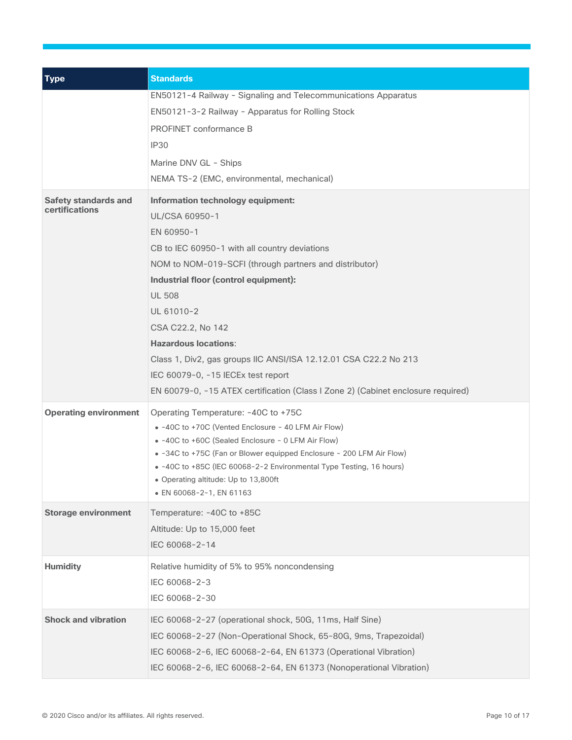| <b>Type</b>                                   | <b>Standards</b>                                                                                                                                                                                                                                                                                                                                                                                                                                                                                       |
|-----------------------------------------------|--------------------------------------------------------------------------------------------------------------------------------------------------------------------------------------------------------------------------------------------------------------------------------------------------------------------------------------------------------------------------------------------------------------------------------------------------------------------------------------------------------|
|                                               | EN50121-4 Railway - Signaling and Telecommunications Apparatus<br>EN50121-3-2 Railway - Apparatus for Rolling Stock<br>PROFINET conformance B<br><b>IP30</b><br>Marine DNV GL - Ships<br>NEMA TS-2 (EMC, environmental, mechanical)                                                                                                                                                                                                                                                                    |
| <b>Safety standards and</b><br>certifications | Information technology equipment:<br>UL/CSA 60950-1<br>EN 60950-1<br>CB to IEC 60950-1 with all country deviations<br>NOM to NOM-019-SCFI (through partners and distributor)<br>Industrial floor (control equipment):<br><b>UL 508</b><br>UL 61010-2<br>CSA C22.2, No 142<br><b>Hazardous locations:</b><br>Class 1, Div2, gas groups IIC ANSI/ISA 12.12.01 CSA C22.2 No 213<br>IEC 60079-0, -15 IECEx test report<br>EN 60079-0, -15 ATEX certification (Class I Zone 2) (Cabinet enclosure required) |
| <b>Operating environment</b>                  | Operating Temperature: -40C to +75C<br>• -40C to +70C (Vented Enclosure - 40 LFM Air Flow)<br>• -40C to +60C (Sealed Enclosure - 0 LFM Air Flow)<br>• -34C to +75C (Fan or Blower equipped Enclosure - 200 LFM Air Flow)<br>• -40C to +85C (IEC 60068-2-2 Environmental Type Testing, 16 hours)<br>• Operating altitude: Up to 13,800ft<br>• EN 60068-2-1, EN 61163                                                                                                                                    |
| <b>Storage environment</b>                    | Temperature: -40C to +85C<br>Altitude: Up to 15,000 feet<br>IEC 60068-2-14                                                                                                                                                                                                                                                                                                                                                                                                                             |
| <b>Humidity</b>                               | Relative humidity of 5% to 95% noncondensing<br>IEC 60068-2-3<br>IEC 60068-2-30                                                                                                                                                                                                                                                                                                                                                                                                                        |
| <b>Shock and vibration</b>                    | IEC 60068-2-27 (operational shock, 50G, 11ms, Half Sine)<br>IEC 60068-2-27 (Non-Operational Shock, 65-80G, 9ms, Trapezoidal)<br>IEC 60068-2-6, IEC 60068-2-64, EN 61373 (Operational Vibration)<br>IEC 60068-2-6, IEC 60068-2-64, EN 61373 (Nonoperational Vibration)                                                                                                                                                                                                                                  |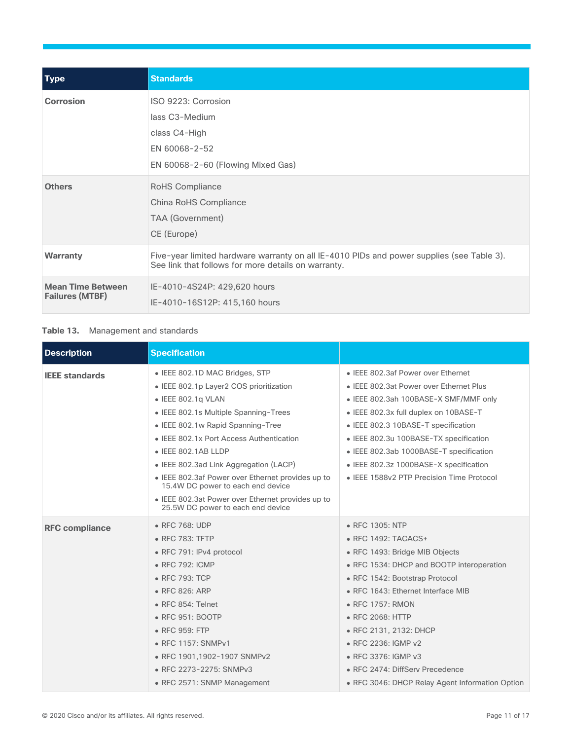| <b>Type</b>                                        | <b>Standards</b>                                                                                                                                 |
|----------------------------------------------------|--------------------------------------------------------------------------------------------------------------------------------------------------|
| <b>Corrosion</b>                                   | ISO 9223: Corrosion<br>lass C3-Medium<br>class C4-High<br>EN 60068-2-52<br>EN 60068-2-60 (Flowing Mixed Gas)                                     |
| <b>Others</b>                                      | RoHS Compliance<br>China RoHS Compliance<br><b>TAA</b> (Government)<br>CE (Europe)                                                               |
| <b>Warranty</b>                                    | Five-year limited hardware warranty on all IE-4010 PIDs and power supplies (see Table 3).<br>See link that follows for more details on warranty. |
| <b>Mean Time Between</b><br><b>Failures (MTBF)</b> | IE-4010-4S24P: 429,620 hours<br>IE-4010-16S12P: 415,160 hours                                                                                    |

#### **Table 13.** Management and standards

| <b>Description</b>    | <b>Specification</b>                                                                   |                                                 |  |  |  |
|-----------------------|----------------------------------------------------------------------------------------|-------------------------------------------------|--|--|--|
| <b>IEEE</b> standards | • IEEE 802.1D MAC Bridges, STP                                                         | • IEEE 802.3af Power over Ethernet              |  |  |  |
|                       | • IEEE 802.1p Layer2 COS prioritization                                                | • IEEE 802.3at Power over Ethernet Plus         |  |  |  |
|                       | $\bullet$ IEEE 802.1g VLAN                                                             | • IEEE 802.3ah 100BASE-X SMF/MMF only           |  |  |  |
|                       | • IEEE 802.1s Multiple Spanning-Trees                                                  | • IEEE 802.3x full duplex on 10BASE-T           |  |  |  |
|                       | • IEEE 802.1w Rapid Spanning-Tree                                                      | • IEEE 802.3 10BASE-T specification             |  |  |  |
|                       | • IEEE 802.1x Port Access Authentication                                               | • IEEE 802.3u 100BASE-TX specification          |  |  |  |
|                       | $\bullet$ IEEE 802.1AB LLDP                                                            | • IEEE 802.3ab 1000BASE-T specification         |  |  |  |
|                       | • IEEE 802.3ad Link Aggregation (LACP)                                                 | • IEEE 802.3z 1000BASE-X specification          |  |  |  |
|                       | • IEEE 802.3af Power over Ethernet provides up to<br>15.4W DC power to each end device | • IEEE 1588v2 PTP Precision Time Protocol       |  |  |  |
|                       | • IEEE 802.3at Power over Ethernet provides up to<br>25.5W DC power to each end device |                                                 |  |  |  |
| <b>RFC compliance</b> | • RFC 768: UDP                                                                         | • RFC 1305: NTP                                 |  |  |  |
|                       | • RFC 783: TFTP                                                                        | • RFC 1492: TACACS+                             |  |  |  |
|                       | • RFC 791: IPv4 protocol                                                               | • RFC 1493: Bridge MIB Objects                  |  |  |  |
|                       | • RFC 792: ICMP                                                                        | • RFC 1534: DHCP and BOOTP interoperation       |  |  |  |
|                       | • RFC 793: TCP                                                                         | • RFC 1542: Bootstrap Protocol                  |  |  |  |
|                       | • RFC 826: ARP                                                                         | • RFC 1643: Ethernet Interface MIB              |  |  |  |
|                       | • RFC 854: Telnet                                                                      | • RFC 1757: RMON                                |  |  |  |
|                       | • RFC 951: BOOTP                                                                       | • RFC 2068: HTTP                                |  |  |  |
|                       | • RFC 959: FTP                                                                         | • RFC 2131, 2132: DHCP                          |  |  |  |
|                       | • RFC 1157: SNMPv1                                                                     | • RFC 2236: IGMP v2                             |  |  |  |
|                       | • RFC 1901,1902-1907 SNMPv2                                                            | • RFC 3376: IGMP v3                             |  |  |  |
|                       | • RFC 2273-2275: SNMPv3                                                                | • RFC 2474: DiffServ Precedence                 |  |  |  |
|                       | • RFC 2571: SNMP Management                                                            | • RFC 3046: DHCP Relay Agent Information Option |  |  |  |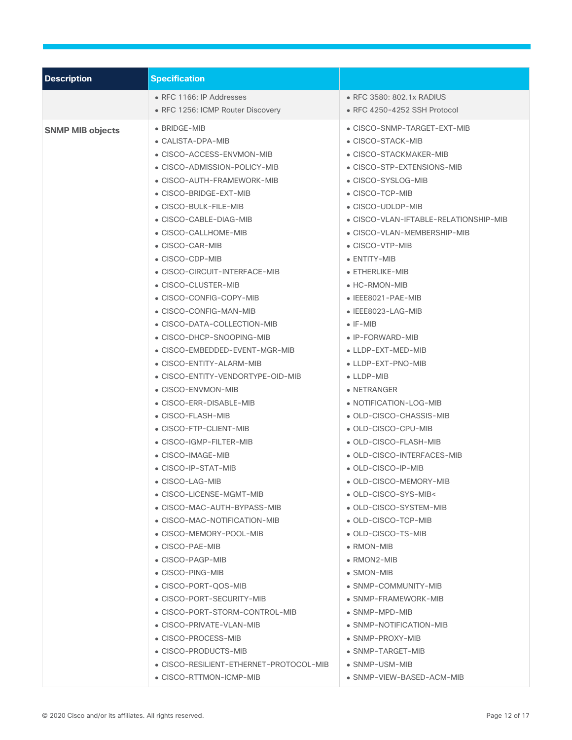| <b>Description</b>      | <b>Specification</b>                                                                                                                     |                                                                                                                                                 |  |  |  |
|-------------------------|------------------------------------------------------------------------------------------------------------------------------------------|-------------------------------------------------------------------------------------------------------------------------------------------------|--|--|--|
|                         | • RFC 1166: IP Addresses                                                                                                                 | • RFC 3580: 802.1x RADIUS                                                                                                                       |  |  |  |
|                         | • RFC 1256: ICMP Router Discovery                                                                                                        | • RFC 4250-4252 SSH Protocol                                                                                                                    |  |  |  |
| <b>SNMP MIB objects</b> | • BRIDGE-MIB<br>• CALISTA-DPA-MIB<br>• CISCO-ACCESS-ENVMON-MIB<br>• CISCO-ADMISSION-POLICY-MIB<br>• CISCO-AUTH-FRAMEWORK-MIB             | • CISCO-SNMP-TARGET-EXT-MIB<br>• CISCO-STACK-MIB<br>• CISCO-STACKMAKER-MIB<br>• CISCO-STP-EXTENSIONS-MIB<br>• CISCO-SYSLOG-MIB                  |  |  |  |
|                         | • CISCO-BRIDGE-EXT-MIB<br>• CISCO-BULK-FILE-MIB<br>• CISCO-CABLE-DIAG-MIB<br>• CISCO-CALLHOME-MIB<br>• CISCO-CAR-MIB<br>• CISCO-CDP-MIB  | • CISCO-TCP-MIB<br>• CISCO-UDLDP-MIB<br>• CISCO-VLAN-IFTABLE-RELATIONSHIP-MIB<br>• CISCO-VLAN-MEMBERSHIP-MIB<br>• CISCO-VTP-MIB<br>• ENTITY-MIB |  |  |  |
|                         | • CISCO-CIRCUIT-INTERFACE-MIB<br>• CISCO-CLUSTER-MIB<br>• CISCO-CONFIG-COPY-MIB<br>• CISCO-CONFIG-MAN-MIB<br>• CISCO-DATA-COLLECTION-MIB | • ETHERLIKE-MIB<br>• HC-RMON-MIB<br>• IEEE8021-PAE-MIB<br>• IEEE8023-LAG-MIB<br>$\bullet$ IF-MIB                                                |  |  |  |
|                         | • CISCO-DHCP-SNOOPING-MIB<br>• CISCO-EMBEDDED-EVENT-MGR-MIB<br>• CISCO-ENTITY-ALARM-MIB<br>• CISCO-ENTITY-VENDORTYPE-OID-MIB             | • IP-FORWARD-MIB<br>• LLDP-EXT-MED-MIB<br>• LLDP-EXT-PNO-MIB<br>• LLDP-MIB                                                                      |  |  |  |
|                         | • CISCO-ENVMON-MIB<br>• CISCO-ERR-DISABLE-MIB<br>• CISCO-FLASH-MIB<br>• CISCO-FTP-CLIENT-MIB                                             | • NETRANGER<br>• NOTIFICATION-LOG-MIB<br>• OLD-CISCO-CHASSIS-MIB<br>• OLD-CISCO-CPU-MIB                                                         |  |  |  |
|                         | • CISCO-IGMP-FILTER-MIB<br>• CISCO-IMAGE-MIB<br>• CISCO-IP-STAT-MIB<br>• CISCO-LAG-MIB<br>• CISCO-LICENSE-MGMT-MIB                       | • OLD-CISCO-FLASH-MIB<br>• OLD-CISCO-INTERFACES-MIB<br>• OLD-CISCO-IP-MIB<br>• OLD-CISCO-MEMORY-MIB<br>• OLD-CISCO-SYS-MIB<                     |  |  |  |
|                         | • CISCO-MAC-AUTH-BYPASS-MIB<br>• CISCO-MAC-NOTIFICATION-MIB<br>• CISCO-MEMORY-POOL-MIB<br>• CISCO-PAE-MIB                                | • OLD-CISCO-SYSTEM-MIB<br>• OLD-CISCO-TCP-MIB<br>• OLD-CISCO-TS-MIB<br>$\bullet$ RMON-MIB                                                       |  |  |  |
|                         | • CISCO-PAGP-MIB<br>• CISCO-PING-MIB<br>• CISCO-PORT-QOS-MIB<br>• CISCO-PORT-SECURITY-MIB                                                | $\bullet$ RMON2-MIB<br>• SMON-MIB<br>• SNMP-COMMUNITY-MIB<br>• SNMP-FRAMEWORK-MIB                                                               |  |  |  |
|                         | • CISCO-PORT-STORM-CONTROL-MIB<br>• CISCO-PRIVATE-VLAN-MIB<br>• CISCO-PROCESS-MIB<br>• CISCO-PRODUCTS-MIB                                | $\bullet$ SNMP-MPD-MIB<br>· SNMP-NOTIFICATION-MIB<br>• SNMP-PROXY-MIB<br>• SNMP-TARGET-MIB                                                      |  |  |  |
|                         | • CISCO-RESILIENT-ETHERNET-PROTOCOL-MIB<br>• CISCO-RTTMON-ICMP-MIB                                                                       | $\bullet$ SNMP-USM-MIB<br>• SNMP-VIEW-BASED-ACM-MIB                                                                                             |  |  |  |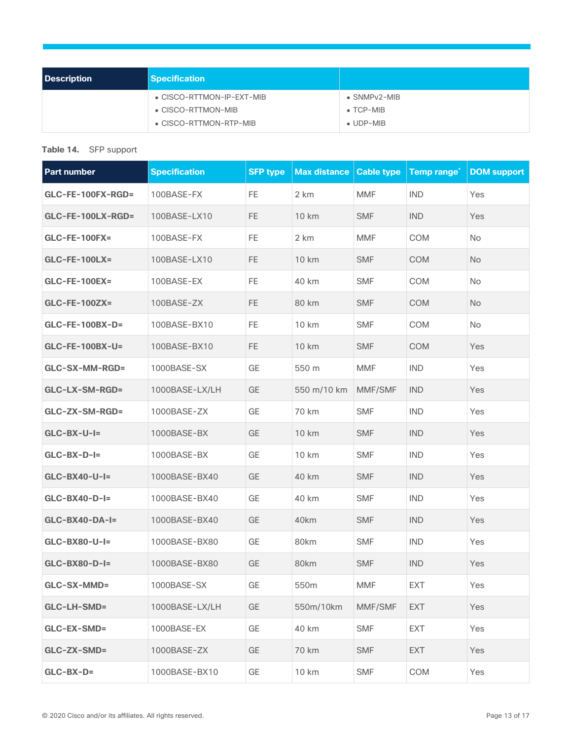| <b>Description</b> | <b>Specification</b>       |                          |
|--------------------|----------------------------|--------------------------|
|                    | • CISCO-RTTMON-IP-EXT-MIB  | $\bullet$ SNMP $v2$ -MIB |
|                    | $\bullet$ CISCO-RTTMON-MIB | $\bullet$ TCP-MIB        |
|                    | • CISCO-RTTMON-RTP-MIB     | $\bullet$ UDP-MIB        |

#### **Table 14.** SFP support

| <b>Part number</b>     | <b>Specification</b> | <b>SFP</b> type | <b>Max distance</b> | <b>Cable type</b> | Temp range <sup>*</sup> | <b>DOM support</b> |
|------------------------|----------------------|-----------------|---------------------|-------------------|-------------------------|--------------------|
| GLC-FE-100FX-RGD=      | 100BASE-FX           | FE.             | 2 km                | <b>MMF</b>        | <b>IND</b>              | Yes                |
| GLC-FE-100LX-RGD=      | 100BASE-LX10         | <b>FE</b>       | 10 km               | <b>SMF</b>        | <b>IND</b>              | Yes                |
| $GLC$ -FE-100FX=       | 100BASE-FX           | FE              | 2 km                | <b>MMF</b>        | COM                     | <b>No</b>          |
| <b>GLC-FE-100LX=</b>   | 100BASE-LX10         | <b>FE</b>       | 10 km               | <b>SMF</b>        | <b>COM</b>              | <b>No</b>          |
| <b>GLC-FE-100EX=</b>   | 100BASE-EX           | FE              | 40 km               | <b>SMF</b>        | COM                     | <b>No</b>          |
| <b>GLC-FE-100ZX=</b>   | 100BASE-ZX           | <b>FE</b>       | 80 km               | <b>SMF</b>        | <b>COM</b>              | No                 |
| <b>GLC-FE-100BX-D=</b> | 100BASE-BX10         | FE              | 10 km               | <b>SMF</b>        | COM                     | No                 |
| <b>GLC-FE-100BX-U=</b> | 100BASE-BX10         | <b>FE</b>       | 10 km               | <b>SMF</b>        | <b>COM</b>              | Yes                |
| GLC-SX-MM-RGD=         | 1000BASE-SX          | GE              | 550 m               | <b>MMF</b>        | <b>IND</b>              | Yes                |
| GLC-LX-SM-RGD=         | 1000BASE-LX/LH       | GE              | 550 m/10 km         | MMF/SMF           | <b>IND</b>              | Yes                |
| GLC-ZX-SM-RGD=         | 1000BASE-ZX          | GE              | 70 km               | <b>SMF</b>        | <b>IND</b>              | Yes                |
| $GLC-BX-U-I=$          | 1000BASE-BX          | GE              | 10 km               | <b>SMF</b>        | <b>IND</b>              | Yes                |
| $GLC-BX-D-I=$          | 1000BASE-BX          | GE              | 10 km               | <b>SMF</b>        | <b>IND</b>              | Yes                |
| $GLC-BX40-U-I=$        | 1000BASE-BX40        | GE              | 40 km               | <b>SMF</b>        | <b>IND</b>              | Yes                |
| $GLC-BX40-D-I=$        | 1000BASE-BX40        | GE              | 40 km               | <b>SMF</b>        | <b>IND</b>              | Yes                |
| GLC-BX40-DA-I=         | 1000BASE-BX40        | GE              | 40km                | <b>SMF</b>        | <b>IND</b>              | Yes                |
| $GLC-BX80-U-I=$        | 1000BASE-BX80        | GE              | 80km                | <b>SMF</b>        | <b>IND</b>              | Yes                |
| $GLC-BX80-D-I=$        | 1000BASE-BX80        | GE              | 80km                | <b>SMF</b>        | <b>IND</b>              | Yes                |
| GLC-SX-MMD=            | 1000BASE-SX          | GE              | 550m                | <b>MMF</b>        | <b>EXT</b>              | Yes                |
| <b>GLC-LH-SMD=</b>     | 1000BASE-LX/LH       | GE              | 550m/10km           | MMF/SMF           | <b>EXT</b>              | Yes                |
| GLC-EX-SMD=            | 1000BASE-EX          | GE              | 40 km               | <b>SMF</b>        | <b>EXT</b>              | Yes                |
| GLC-ZX-SMD=            | 1000BASE-ZX          | GE              | 70 km               | <b>SMF</b>        | <b>EXT</b>              | Yes                |
| $GLC-BX-D=$            | 1000BASE-BX10        | GE              | 10 km               | <b>SMF</b>        | COM                     | Yes                |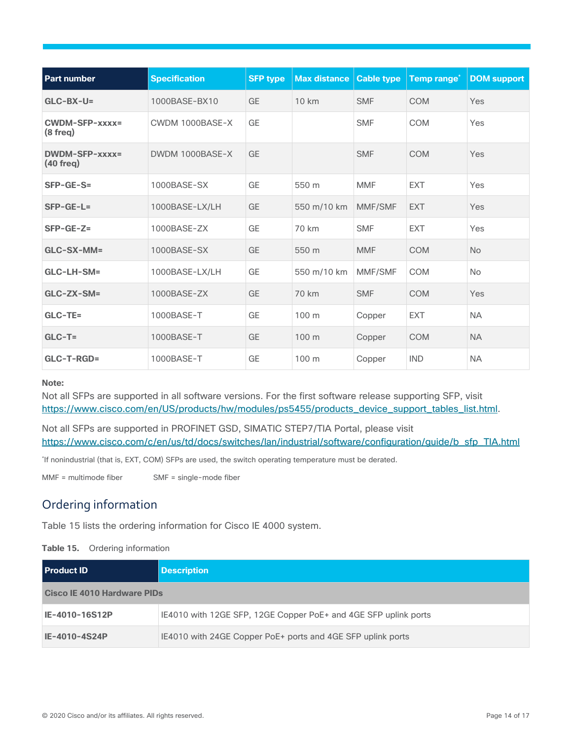| <b>Part number</b>                | <b>Specification</b> | <b>SFP type</b> | <b>Max distance</b> | <b>Cable type</b> | <b>Temp range<sup>*</sup></b> | <b>DOM</b> support |
|-----------------------------------|----------------------|-----------------|---------------------|-------------------|-------------------------------|--------------------|
| $GLC-BX-U=$                       | 1000BASE-BX10        | <b>GE</b>       | 10 km               | <b>SMF</b>        | <b>COM</b>                    | Yes                |
| CWDM-SFP-xxxx=<br>$(8$ freq $)$   | CWDM 1000BASE-X      | GE              |                     | <b>SMF</b>        | COM                           | Yes                |
| $DWDM-SEP-xxxxz =$<br>$(40$ freq) | DWDM 1000BASE-X      | GF              |                     | <b>SMF</b>        | <b>COM</b>                    | Yes                |
| SFP-GE-S=                         | 1000BASE-SX          | GE              | 550 m               | <b>MMF</b>        | <b>EXT</b>                    | <b>Yes</b>         |
| $SFP-GE-L=$                       | 1000BASE-LX/LH       | <b>GE</b>       | 550 m/10 km         | <b>MMF/SMF</b>    | <b>EXT</b>                    | Yes                |
| $SFP-GE-Z=$                       | 1000BASE-ZX          | GE              | 70 km               | <b>SMF</b>        | <b>EXT</b>                    | Yes                |
| $GLC-SX-MM=$                      | 1000BASE-SX          | <b>GE</b>       | 550 m               | <b>MMF</b>        | <b>COM</b>                    | <b>No</b>          |
| GLC-LH-SM=                        | 1000BASE-LX/LH       | GE              | 550 m/10 km         | MMF/SMF           | <b>COM</b>                    | <b>No</b>          |
| GLC-ZX-SM=                        | 1000BASE-ZX          | <b>GE</b>       | 70 km               | <b>SMF</b>        | <b>COM</b>                    | Yes                |
| GLC-TE=                           | 1000BASE-T           | GE              | 100 m               | Copper            | <b>EXT</b>                    | <b>NA</b>          |
| $GLC-T=$                          | 1000BASE-T           | <b>GE</b>       | 100 <sub>m</sub>    | Copper            | <b>COM</b>                    | <b>NA</b>          |
| GLC-T-RGD=                        | 1000BASE-T           | <b>GE</b>       | 100 m               | Copper            | <b>IND</b>                    | <b>NA</b>          |

#### **Note:**

Not all SFPs are supported in all software versions. For the first software release supporting SFP, visit [https://www.cisco.com/en/US/products/hw/modules/ps5455/products\\_device\\_support\\_tables\\_list.html.](https://www.cisco.com/en/US/products/hw/modules/ps5455/products_device_support_tables_list.html)

Not all SFPs are supported in PROFINET GSD, SIMATIC STEP7/TIA Portal, please visit [https://www.cisco.com/c/en/us/td/docs/switches/lan/industrial/software/configuration/guide/b\\_sfp\\_TIA.html](https://www.cisco.com/c/en/us/td/docs/switches/lan/industrial/software/configuration/guide/b_sfp_TIA.html)

\* If nonindustrial (that is, EXT, COM) SFPs are used, the switch operating temperature must be derated.

MMF = multimode fiber SMF = single-mode fiber

# <span id="page-13-0"></span>Ordering information

Table 15 lists the ordering information for Cisco IE 4000 system.

#### **Table 15.** Ordering information

| <b>Product ID</b>           | <b>Description</b>                                              |  |
|-----------------------------|-----------------------------------------------------------------|--|
| Cisco IE 4010 Hardware PIDs |                                                                 |  |
| IE-4010-16S12P              | IE4010 with 12GE SFP, 12GE Copper PoE+ and 4GE SFP uplink ports |  |
| IE-4010-4S24P               | IE4010 with 24GE Copper PoE+ ports and 4GE SFP uplink ports     |  |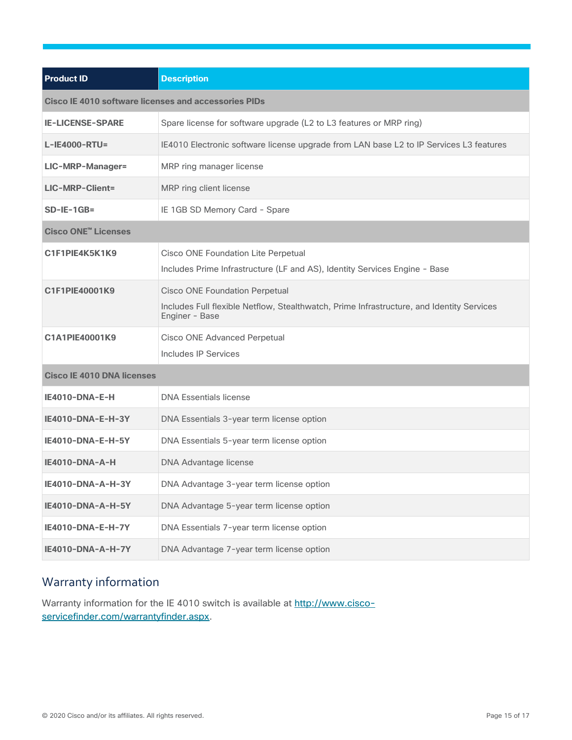| <b>Product ID</b>                                           | <b>Description</b>                                                                                                                                   |  |  |  |
|-------------------------------------------------------------|------------------------------------------------------------------------------------------------------------------------------------------------------|--|--|--|
| <b>Cisco IE 4010 software licenses and accessories PIDs</b> |                                                                                                                                                      |  |  |  |
| <b>IE-LICENSE-SPARE</b>                                     | Spare license for software upgrade (L2 to L3 features or MRP ring)                                                                                   |  |  |  |
| $L-IE4000-RTU=$                                             | IE4010 Electronic software license upgrade from LAN base L2 to IP Services L3 features                                                               |  |  |  |
| <b>LIC-MRP-Manager=</b>                                     | MRP ring manager license                                                                                                                             |  |  |  |
| <b>LIC-MRP-Client=</b>                                      | MRP ring client license                                                                                                                              |  |  |  |
| $SD-IE-1GB=$                                                | IE 1GB SD Memory Card - Spare                                                                                                                        |  |  |  |
| <b>Cisco ONE<sup>™</sup> Licenses</b>                       |                                                                                                                                                      |  |  |  |
| C1F1PIE4K5K1K9                                              | Cisco ONE Foundation Lite Perpetual<br>Includes Prime Infrastructure (LF and AS), Identity Services Engine - Base                                    |  |  |  |
| C1F1PIE40001K9                                              | <b>Cisco ONE Foundation Perpetual</b><br>Includes Full flexible Netflow, Stealthwatch, Prime Infrastructure, and Identity Services<br>Enginer - Base |  |  |  |
| C1A1PIE40001K9                                              | <b>Cisco ONE Advanced Perpetual</b><br>Includes IP Services                                                                                          |  |  |  |
| <b>Cisco IE 4010 DNA licenses</b>                           |                                                                                                                                                      |  |  |  |
| IE4010-DNA-E-H                                              | <b>DNA Essentials license</b>                                                                                                                        |  |  |  |
| IE4010-DNA-E-H-3Y                                           | DNA Essentials 3-year term license option                                                                                                            |  |  |  |
| IE4010-DNA-E-H-5Y                                           | DNA Essentials 5-year term license option                                                                                                            |  |  |  |
| IE4010-DNA-A-H                                              | <b>DNA Advantage license</b>                                                                                                                         |  |  |  |
| IE4010-DNA-A-H-3Y                                           | DNA Advantage 3-year term license option                                                                                                             |  |  |  |
| IE4010-DNA-A-H-5Y                                           | DNA Advantage 5-year term license option                                                                                                             |  |  |  |
| IE4010-DNA-E-H-7Y                                           | DNA Essentials 7-year term license option                                                                                                            |  |  |  |
| <b>IE4010-DNA-A-H-7Y</b>                                    | DNA Advantage 7-year term license option                                                                                                             |  |  |  |

# <span id="page-14-0"></span>Warranty information

Warranty information for the IE 4010 switch is available at [http://www.cisco](http://www.cisco-servicefinder.com/warrantyfinder.aspx)[servicefinder.com/warrantyfinder.aspx.](http://www.cisco-servicefinder.com/warrantyfinder.aspx)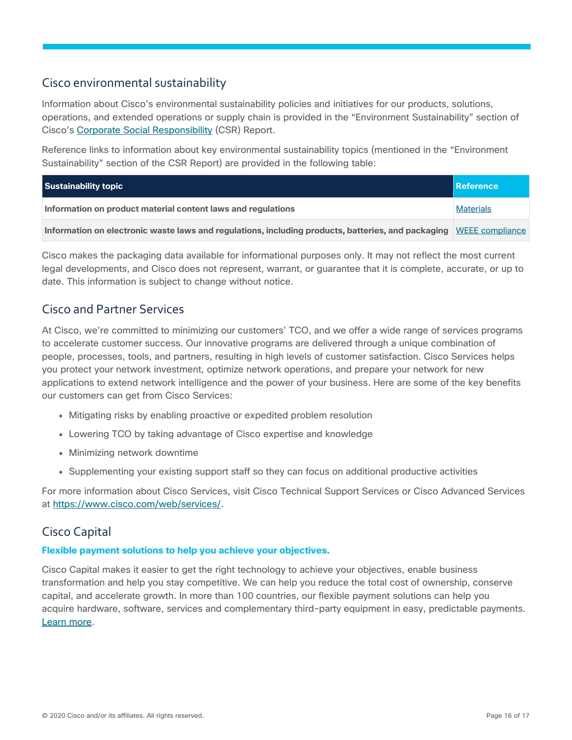# <span id="page-15-0"></span>Cisco environmental sustainability

Information about Cisco's environmental sustainability policies and initiatives for our products, solutions, operations, and extended operations or supply chain is provided in the "Environment Sustainability" section of Cisco's [Corporate Social Responsibility](https://www-1.compliance2product.com/c2p/getAttachment.do?code=YM6Y0yThdO6Wj1FxxYPYfUG2dtFkTeFWGpzLRO8tcURFEifUCRV403Tq2ZMWP6Ai) (CSR) Report.

Reference links to information about key environmental sustainability topics (mentioned in the "Environment Sustainability" section of the CSR Report) are provided in the following table:

| Sustainability topic                                                                                               | Reference        |
|--------------------------------------------------------------------------------------------------------------------|------------------|
| Information on product material content laws and regulations                                                       | <b>Materials</b> |
| Information on electronic waste laws and regulations, including products, batteries, and packaging WEEE compliance |                  |

Cisco makes the packaging data available for informational purposes only. It may not reflect the most current legal developments, and Cisco does not represent, warrant, or guarantee that it is complete, accurate, or up to date. This information is subject to change without notice.

# <span id="page-15-1"></span>Cisco and Partner Services

At Cisco, we're committed to minimizing our customers' TCO, and we offer a wide range of services programs to accelerate customer success. Our innovative programs are delivered through a unique combination of people, processes, tools, and partners, resulting in high levels of customer satisfaction. Cisco Services helps you protect your network investment, optimize network operations, and prepare your network for new applications to extend network intelligence and the power of your business. Here are some of the key benefits our customers can get from Cisco Services:

- Mitigating risks by enabling proactive or expedited problem resolution
- Lowering TCO by taking advantage of Cisco expertise and knowledge
- Minimizing network downtime
- Supplementing your existing support staff so they can focus on additional productive activities

For more information about Cisco Services, visit Cisco Technical Support Services or Cisco Advanced Services at [https://www.cisco.com/web/services/.](https://www.cisco.com/web/services/)

# <span id="page-15-2"></span>Cisco Capital

#### **Flexible payment solutions to help you achieve your objectives.**

Cisco Capital makes it easier to get the right technology to achieve your objectives, enable business transformation and help you stay competitive. We can help you reduce the total cost of ownership, conserve capital, and accelerate growth. In more than 100 countries, our flexible payment solutions can help you acquire hardware, software, services and complementary third-party equipment in easy, predictable payments. [Learn](https://www.cisco.com/go/financing) more.